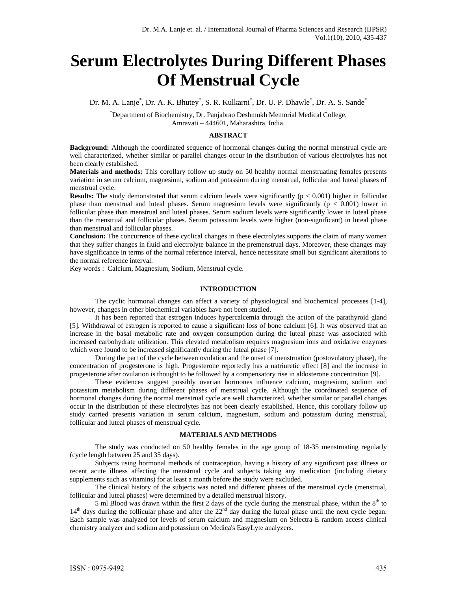# **Serum Electrolytes During Different Phases Of Menstrual Cycle**

Dr. M. A. Lanje<sup>\*</sup>, Dr. A. K. Bhutey<sup>\*</sup>, S. R. Kulkarni<sup>\*</sup>, Dr. U. P. Dhawle<sup>\*</sup>, Dr. A. S. Sande<sup>\*</sup>

\* Department of Biochemistry, Dr. Panjabrao Deshmukh Memorial Medical College, Amravati – 444601, Maharashtra, India.

## **ABSTRACT**

**Background:** Although the coordinated sequence of hormonal changes during the normal menstrual cycle are well characterized, whether similar or parallel changes occur in the distribution of various electrolytes has not been clearly established.

**Materials and methods:** This corollary follow up study on 50 healthy normal menstruating females presents variation in serum calcium, magnesium, sodium and potassium during menstrual, follicular and luteal phases of menstrual cycle.

**Results:** The study demonstrated that serum calcium levels were significantly  $(p < 0.001)$  higher in follicular phase than menstrual and luteal phases. Serum magnesium levels were significantly  $(p < 0.001)$  lower in follicular phase than menstrual and luteal phases. Serum sodium levels were significantly lower in luteal phase than the menstrual and follicular phases. Serum potassium levels were higher (non-significant) in luteal phase than menstrual and follicular phases.

**Conclusion:** The concurrence of these cyclical changes in these electrolytes supports the claim of many women that they suffer changes in fluid and electrolyte balance in the premenstrual days. Moreover, these changes may have significance in terms of the normal reference interval, hence necessitate small but significant alterations to the normal reference interval.

Key words : Calcium, Magnesium, Sodium, Menstrual cycle.

#### **INTRODUCTION**

The cyclic hormonal changes can affect a variety of physiological and biochemical processes [1-4], however, changes in other biochemical variables have not been studied.

It has been reported that estrogen induces hypercalcemia through the action of the parathyroid gland [5]. Withdrawal of estrogen is reported to cause a significant loss of bone calcium [6]. It was observed that an increase in the basal metabolic rate and oxygen consumption during the luteal phase was associated with increased carbohydrate utilization. This elevated metabolism requires magnesium ions and oxidative enzymes which were found to be increased significantly during the luteal phase [7].

During the part of the cycle between ovulation and the onset of menstruation (postovulatory phase), the concentration of progesterone is high. Progesterone reportedly has a natriuretic effect [8] and the increase in progesterone after ovulation is thought to be followed by a compensatory rise in aldosterone concentration [9].

These evidences suggest possibly ovarian hormones influence calcium, magnesium, sodium and potassium metabolism during different phases of menstrual cycle. Although the coordinated sequence of hormonal changes during the normal menstrual cycle are well characterized, whether similar or parallel changes occur in the distribution of these electrolytes has not been clearly established. Hence, this corollary follow up study carried presents variation in serum calcium, magnesium, sodium and potassium during menstrual, follicular and luteal phases of menstrual cycle.

## **MATERIALS AND METHODS**

 The study was conducted on 50 healthy females in the age group of 18-35 menstruating regularly (cycle length between 25 and 35 days).

 Subjects using hormonal methods of contraception, having a history of any significant past illness or recent acute illness affecting the menstrual cycle and subjects taking any medication (including dietary supplements such as vitamins) for at least a month before the study were excluded.

The clinical history of the subjects was noted and different phases of the menstrual cycle (menstrual, follicular and luteal phases) were determined by a detailed menstrual history.

5 ml Blood was drawn within the first 2 days of the cycle during the menstrual phase, within the  $8<sup>th</sup>$  to  $14<sup>th</sup>$  days during the follicular phase and after the  $22<sup>nd</sup>$  day during the luteal phase until the next cycle began. Each sample was analyzed for levels of serum calcium and magnesium on Selectra-E random access clinical chemistry analyzer and sodium and potassium on Medica's EasyLyte analyzers.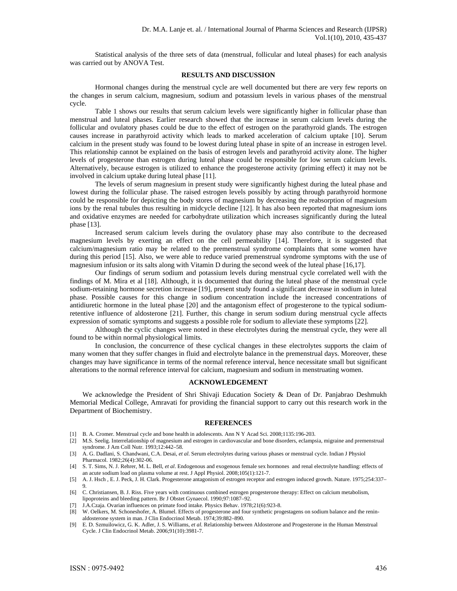Statistical analysis of the three sets of data (menstrual, follicular and luteal phases) for each analysis was carried out by ANOVA Test.

#### **RESULTS AND DISCUSSION**

Hormonal changes during the menstrual cycle are well documented but there are very few reports on the changes in serum calcium, magnesium, sodium and potassium levels in various phases of the menstrual cycle.

Table 1 shows our results that serum calcium levels were significantly higher in follicular phase than menstrual and luteal phases. Earlier research showed that the increase in serum calcium levels during the follicular and ovulatory phases could be due to the effect of estrogen on the parathyroid glands. The estrogen causes increase in parathyroid activity which leads to marked acceleration of calcium uptake [10]. Serum calcium in the present study was found to be lowest during luteal phase in spite of an increase in estrogen level. This relationship cannot be explained on the basis of estrogen levels and parathyroid activity alone. The higher levels of progesterone than estrogen during luteal phase could be responsible for low serum calcium levels. Alternatively, because estrogen is utilized to enhance the progesterone activity (priming effect) it may not be involved in calcium uptake during luteal phase [11].

The levels of serum magnesium in present study were significantly highest during the luteal phase and lowest during the follicular phase. The raised estrogen levels possibly by acting through parathyroid hormone could be responsible for depicting the body stores of magnesium by decreasing the reabsorption of magnesium ions by the renal tubules thus resulting in midcycle decline [12]. It has also been reported that magnesium ions and oxidative enzymes are needed for carbohydrate utilization which increases significantly during the luteal phase [13].

Increased serum calcium levels during the ovulatory phase may also contribute to the decreased magnesium levels by exerting an effect on the cell permeability [14]. Therefore, it is suggested that calcium/magnesium ratio may be related to the premenstrual syndrome complaints that some women have during this period [15]. Also, we were able to reduce varied premenstrual syndrome symptoms with the use of magnesium infusion or its salts along with Vitamin D during the second week of the luteal phase [16,17].

Our findings of serum sodium and potassium levels during menstrual cycle correlated well with the findings of M. Mira et al [18]. Although, it is documented that during the luteal phase of the menstrual cycle sodium-retaining hormone secretion increase [19], present study found a significant decrease in sodium in luteal phase. Possible causes for this change in sodium concentration include the increased concentrations of antidiuretic hormone in the luteal phase [20] and the antagonism effect of progesterone to the typical sodiumretentive influence of aldosterone [21]. Further, this change in serum sodium during menstrual cycle affects expression of somatic symptoms and suggests a possible role for sodium to alleviate these symptoms [22].

Although the cyclic changes were noted in these electrolytes during the menstrual cycle, they were all found to be within normal physiological limits.

In conclusion, the concurrence of these cyclical changes in these electrolytes supports the claim of many women that they suffer changes in fluid and electrolyte balance in the premenstrual days. Moreover, these changes may have significance in terms of the normal reference interval, hence necessitate small but significant alterations to the normal reference interval for calcium, magnesium and sodium in menstruating women.

## **ACKNOWLEDGEMENT**

We acknowledge the President of Shri Shivaji Education Society & Dean of Dr. Panjabrao Deshmukh Memorial Medical College, Amravati for providing the financial support to carry out this research work in the Department of Biochemistry.

#### **REFERENCES**

- [1] B. A. Cromer. Menstrual cycle and bone health in adolescents. Ann N Y Acad Sci. 2008;1135:196-203.
- [2] M.S. Seelig. Interrelationship of magnesium and estrogen in cardiovascular and bone disorders, eclampsia, migraine and premenstrual syndrome. J Am Coll Nutr. 1993;12:442–58.
- [3] A. G. Dadlani, S. Chandwani, C.A. Desai, *et al*. Serum electrolytes during various phases or menstrual cycle. Indian J Physiol Pharmacol. 1982;26(4):302-06.
- [4] S. T. Sims, N. J. Rehrer, M. L. Bell, *et al*. Endogenous and exogenous female sex hormones and renal electrolyte handling: effects of an acute sodium load on plasma volume at rest. J Appl Physiol. 2008;105(1):121-7.
- [5] A. J. Hsch , E. J. Peck, J. H. Clark. Progesterone antagonism of estrogen receptor and estrogen induced growth. Nature. 1975;254:337– 9.
- [6] C. Christiansen, B. J. Riss. Five years with continuous combined estrogen progesterone therapy: Effect on calcium metabolism, lipoproteins and bleeding pattern. Br J Obstet Gynaecol. 1990;97:1087–92.
- [7] J.A.Czaja. Ovarian influences on primate food intake. Physics Behav. 1978;21(6):923-8.
- [8] W. Oelkers, M. Schoneshofer, A. Blumel. Effects of progesterone and four synthetic progestagens on sodium balance and the reninaldosterone system in man. J Clin Endocrinol Metab. 1974;39:882–890.
- [9] E. D. Szmuilowicz, G. K. Adler, J. S. Williams, *et al.* Relationship between Aldosterone and Progesterone in the Human Menstrual Cycle. J Clin Endocrinol Metab. 2006;91(10):3981-7.